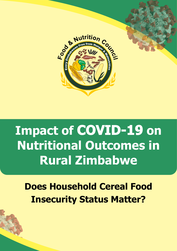

# **Documental Zimbabwe**<br> **Rural Zimbabwe Impact of COVID-19 on Nutritional Outcomes in**

**Traditional Does Household Cereal Food<br>
Insecurity Status Matter? Does Household Cereal Food Insecurity Status Matter?**

**Insecurity in Zimbabwe**<br>1980 - Particular Communication in Zimbabwe Barbara Communication in Zimbabwe Barbara<br>1980 - Particular Communication in Zimbabwe Barbara Communication in Zimbabwe Barbara Communication in Zimbab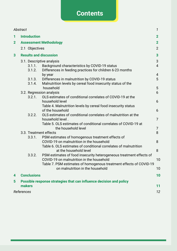## **Contents**

|                | Abstract            |                                                                                                                            | 1              |
|----------------|---------------------|----------------------------------------------------------------------------------------------------------------------------|----------------|
| 1              | <b>Introduction</b> |                                                                                                                            | $\mathbf{2}$   |
| $\overline{2}$ |                     | <b>Assessment Methodology</b>                                                                                              | $\mathbf{2}$   |
|                |                     | 2.1 Objectives                                                                                                             | $\overline{2}$ |
| 3              |                     | <b>Results and discussion</b>                                                                                              | $\overline{3}$ |
|                |                     | 3.1. Descriptive analysis                                                                                                  | 3              |
|                |                     | 3.1.1.<br>Background characteristics by COVID-19 status                                                                    | $\overline{4}$ |
|                |                     | Differences in feeding practices for children 6-23 months<br>3.1.2.                                                        |                |
|                |                     | by year                                                                                                                    | 4              |
|                |                     | Differences in malnutrition by COVID-19 status<br>3.1.3.                                                                   | 5              |
|                |                     | Malnutrition levels by cereal food insecurity status of the<br>3.1.4.                                                      |                |
|                |                     | household                                                                                                                  | 5              |
|                |                     | 3.2. Regression analysis                                                                                                   | 6              |
|                |                     | OLS estimates of conditional correlates of COVID-19 at the<br>3.2.1.                                                       |                |
|                |                     | household level                                                                                                            | 6              |
|                |                     | Table 4. Malnutrition levels by cereal food insecurity status<br>of the household                                          | 6              |
|                |                     | OLS estimates of conditional correlates of malnutrition at the<br>3.2.2.                                                   |                |
|                |                     | household level.                                                                                                           | $\overline{7}$ |
|                |                     | Table 5. OLS estimates of conditional correlates of COVID-19 at                                                            |                |
|                |                     | the household level                                                                                                        | 7              |
|                |                     | 3.3. Treatment effects                                                                                                     | 8              |
|                |                     | PSM estimates of homogenous treatment effects of<br>3.3.1.                                                                 |                |
|                |                     | COVID-19 on malnutrition in the household                                                                                  | 8              |
|                |                     | Table 6. OLS estimates of conditional correlates of malnutrition                                                           |                |
|                |                     | at the household level                                                                                                     | 8              |
|                |                     | PSM estimates of food insecurity heterogeneous treatment effects of<br>3.3.2.<br>COVID-19 on malnutrition in the household | 10             |
|                |                     | Table 7. PSM estimates of homogenous treatment effects of COVID-19                                                         |                |
|                |                     | on malnutrition in the household                                                                                           | 10             |
|                |                     |                                                                                                                            |                |
| 4              | <b>Conclusions</b>  |                                                                                                                            | 10             |
| 5              |                     | Possible response strategies that can influence decision and policy                                                        |                |
|                | makers              |                                                                                                                            | 11             |
|                | References          |                                                                                                                            | 12             |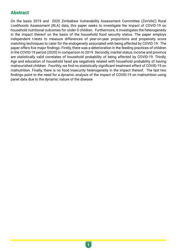## **Abstract**

On the basis 2019 and 2020 Zimbabwe Vulnerability Assessment Committee (ZimVAC) Rural Livelihoods Assessment (RLA) data, this paper seeks to investigate the impact of COVID-19 on household nutritional outcomes for under-5 children. Furthermore, it investigates the heterogeneity in the impact thereof on the basis of the household food security status. The paper employs independent t-tests to measure differences of year-on-year proportions and propensity score matching techniques to cater for the endogeneity associated with being affected by COVID-19. The paper offers five major findings. Firstly, there was a deterioration in the feeding practices of children in the COVID-19 period (2020) in comparison to 2019. Secondly, marital status, income and province are statistically valid correlates of household probability of being affected by COVID-19. Thirdly, Age and education of household head are negatively related with household probability of having malnourished children. Fourthly, we find no statistically significant treatment effect of COVID-19 on malnutrition. Finally, there is no food insecurity heterogeneity in the impact thereof. The last two findings point to the need for a dynamic analysis of the impact of COVID-19 on malnutrition using panel data due to the dynamic nature of the disease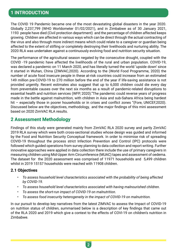## **1 INTRODUCTION**

The COVID 19 Pandemic became one of the most devastating global disasters in the year 2020. Globally 2,237,799 (WHO Worldometer 01/02/2021), and in Zimbabwe as of 30 January 2021, 1193 people have died (Civil protection department) and the percentage of children affected keeps growing. Children are affected in various ways which can be direct through the actual contracting of the virus and also through more indirect means which could relate to a caregiver or guardian being affected to the extent of stifling or completely destroying their livelihoods and nurturing ability. The 2020 RLA was undertaken against a continuously evolving food and nutrition security situation.

The performance of the agricultural season negated by the consecutive drought, coupled with the COVID -19 pandemic have affected the livelihoods of the rural and urban population. COVID-19, was declared a pandemic on 11 March 2020, and has literally turned the world 'upside down' since it started in Wuhan, China (ZIMVAC,2020). According to the (World Food Programme, 2020) the number of acute food insecure people in these at-risk countries could increase from an estimated 149 million pre-COVID-19 to 270 million before the end of the year if life-saving assistance is not provided urgently. Recent estimates also suggest that up to 6,000 children could die every day from preventable causes over the next six months as a result of pandemic-related disruptions to essential health and nutrition services (WFP, 2020)."The pandemic could reverse years of progress made in the battle against malnutrition, with children in Asia and sub-Sahara Africa being hardest hit – especially those in poorer households or in crises and conflict zones "(Fore, UNICEF, 2020). Discussed below are the objectives, methodology, and the major findings of this mini assessment based on 2020 ZimVAC RLA results.

## **2 Assessment Methodology**

Findings of this study were generated mainly from ZimVAC RLA 2020 survey and partly ZimVAC 2019 RLA survey which were both cross-sectional studies whose design was guided and informed by the Food and Nutrition Security Conceptual framework. In order to minimise risk of spreading COVID-19 throughout the process strict Infection Prevention and Control (IPC) protocols were followed which guided operations from survey planning to data collection and report writing. Further innovative approaches were applied in data collection there include the use of primary caregivers in measuring children using Mid-Upper Arm Circumference (MUAC) tapes and assessment of oedema. The dataset for the 2020 assessment was comprised of 11971 households and 5,499 children whilst in 2019 15157 households were reached with 11908 children.

#### **2.1 Objectives**

- *• To assess household level characteristics associated with the probability of being affected by COVID-19.*
- *• To assess household level characteristics associated with having malnourished children.*
- *• To assess the short-run impact of COVID-19 on malnutrition.*
- *• To assess food insecurity heterogeneity in the impact of COVID-19 on malnutrition.*

In our pursuit to develop key narratives from the latest ZIMVAC to assess the Impact of COVID-19 on nutrition status of children, summarised below is a description of key findings that came out of the RLA 2020 and 2019 which give a context to the effects of COVI-19 on children's nutrition in Zimbabwe.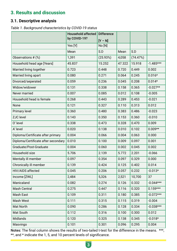## **3. Results and discussion**

### **3.1. Descriptive analysis**

*Table 1. Background characteristics by COVID-19 status*

|                                     | <b>Household affected</b> | <b>Difference</b> |        |          |             |
|-------------------------------------|---------------------------|-------------------|--------|----------|-------------|
|                                     | by COVID-19?              | $[Y - N]$         |        |          |             |
|                                     | Yes [Y]                   | No[N]             |        |          |             |
|                                     | Mean                      | S.D               | Mean   | S.D      |             |
| Observations # (%)                  | 1,391                     | (25.93%)          | 4,058  | (74.47%) |             |
| Household head age [Years]          | 45.837                    | 15.252            | 47.322 | 15.918   | $-1.485***$ |
| Married living together             | 0.723                     | 0.448             | 0.720  | 0.449    | 0.002       |
| Married living apart                | 0.080                     | 0.271             | 0.064  | 0.245    | $0.016*$    |
| Divorced/seperated                  | 0.059                     | 0.236             | 0.045  | 0.208    | $0.014*$    |
| Widow/widower                       | 0.131                     | 0.338             | 0.158  | 0.365    | $-0.027**$  |
| Never married                       | 0.007                     | 0.085             | 0.012  | 0.108    | $-0.005$    |
| Household head is female            | 0.268                     | 0.443             | 0.289  | 0.453    | $-0.021$    |
| None                                | 0.121                     | 0.327             | 0.110  | 0.313    | 0.012       |
| <b>Primary level</b>                | 0.360                     | 0.480             | 0.383  | 0.486    | $-0.023$    |
| <b>ZJC</b> level                    | 0.143                     | 0.350             | 0.153  | 0.360    | $-0.010$    |
| O' level                            | 0.338                     | 0.473             | 0.328  | 0.470    | 0.009       |
| A' level                            | 0.020                     | 0.138             | 0.010  | 0.102    | $0.009**$   |
| Diploma/Certificate after primary   | 0.004                     | 0.066             | 0.004  | 0.063    | 0.000       |
| Diploma/Certificate after secondary | 0.010                     | 0.100             | 0.009  | 0.097    | 0.001       |
| Graduate/Post-Graduate              | 0.004                     | 0.060             | 0.002  | 0.045    | 0.002       |
| Household size                      | 5.706                     | 2.139             | 5.772  | 2.201    | $-0.066$    |
| Mentally ill member                 | 0.097                     | 0.354             | 0.097  | 0.329    | 0.000       |
| Chronically ill member              | 0.139                     | 0.424             | 0.125  | 0.402    | 0.014       |
| HIV/AIDS affected                   | 0.045                     | 0.206             | 0.057  | 0.232    | $-0.013*$   |
| Income [ZWL]                        | 2,484                     | 5,326             | 2,521  | 10,700   | 37          |
| Manicaland                          | 0.082                     | 0.274             | 0.126  | 0.332    | $-0.044***$ |
| <b>Mash Central</b>                 | 0.275                     | 0.447             | 0.116  | 0.320    | $0.159***$  |
| Mash East                           | 0.109                     | 0.311             | 0.180  | 0.385    | $-0.072***$ |
| Mash West                           | 0.111                     | 0.315             | 0.115  | 0.319    | $-0.004$    |
| Mat North                           | 0.090                     | 0.286             | 0.128  | 0.334    | $-0.038***$ |
| Mat South                           | 0.112                     | 0.316             | 0.100  | 0.300    | 0.012       |
| <b>Midlands</b>                     | 0.120                     | 0.325             | 0.138  | 0.345    | $-0.018*$   |
| Masvingo                            | 0.101                     | 0.301             | 0.096  | 0.295    | 0.004       |

Notes: The final column shows the results of two-tailed t-test for the difference in the means. \*\*\*, \*\*, and \* indicate the 1, 5, and 10 percent levels of significance.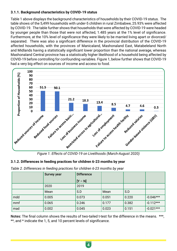#### **3.1.1. Background characteristics by COVID-19 status**

Table 1 above displays the background characteristics of households by their COVID-19 status. The table shows of the 5,499 households with under-5 children in rural Zimbabwe, 25.93% were affected by COVID-19. The table further shows that households that were affected by COVID-19 were headed by younger people than those that were not affected, 1.485 years at the 1% level of significance. Furthermore, at the 10% level of significance they were likely to be married living apart or divorced/ separated. There was also a significant difference in the provincial distribution of the COVID-19 affected households, with the provinces of Manicaland, Mashonaland East, Matabeleland North and Midlands having a statistically significant lower proportion than the national average, whereas Mashonaland Central province has a statistically higher likelihood of a household being affected by COVID-19 before controlling for confounding variables. Figure 1, below further shows that COVID-19 had a very big effect on sources of income and access to food.



#### **3.1.2. Differences in feeding practices for children 6-23 months by year**

|  | Table 2. Differences in feeding practices for children 6-23 months by year |  |  |  |  |  |  |
|--|----------------------------------------------------------------------------|--|--|--|--|--|--|
|--|----------------------------------------------------------------------------|--|--|--|--|--|--|

|     | <b>Survey year</b> | <b>Difference</b> |       |       |             |
|-----|--------------------|-------------------|-------|-------|-------------|
|     |                    | $[Y - N]$         |       |       |             |
|     | 2020               | 2019              |       |       |             |
|     | Mean               | S.D               | Mean  | S.D   |             |
| mdd | 0.005              | 0.073             | 0.051 | 0.220 | $-0.046***$ |
| mmf | 0.065              | 0.246             | 0.177 | 0.382 | $-0.112***$ |
| mad | 0.002              | 0.045             | 0.023 | 0.151 | $-0.021***$ |

Notes: The final column shows the results of two-tailed t-test for the difference in the means. \*\*\*, \*\*, and \* indicate the 1, 5, and 10 percent levels of significance.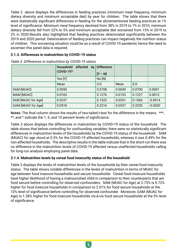Table 2 above displays the differences in feeding practices (minimum meal frequency, minimum dietary diversity and minimum acceptable diet) by year for children. The table shows that there were statistically significant differences in feeding for the aforementioned feeding practices at 1% level of significance. Minimum meal frequency declined from 38% in 2019 to 7% in 2010, minimum dietary diversity fell from 22% to 5% and minimum acceptable diet worsened from 15% in 2019 to 2% in 2020.Results also highlighted that feeding practices deteriorated significantly between the 2019 and 2020 period. Deterioration of feeding practices can impact negatively the nutrition status of children. This worsening situation could be as a result of COVID-19 pandemic hence the need to ascertain this panel data is required.

#### **3.1.3. Differences in malnutrition by COVID-19 status**

|                    | affected<br>Household<br>by | <b>Difference</b> |        |        |           |
|--------------------|-----------------------------|-------------------|--------|--------|-----------|
|                    | <b>COVID-19?</b>            | $[Y - N]$         |        |        |           |
|                    | Yes [Y]                     | No[N]             |        |        |           |
|                    | Mean                        | S.D               | Mean   | S.D    |           |
| SAM [MUAC]         | 0.0050                      | 0.0708            | 0.0049 | 0.0700 | 0.0001    |
| MAM [MUAC]         | 0.0165                      | 0.1276            | 0.0153 | 0.1227 | 0.0013    |
| SAM [MUAC for Age] | 0.0237                      | 0.1522            | 0.0251 | 0.1566 | $-0.0014$ |
| GAM [MUAC for Age] | 0.0518                      | 0.2216            | 0.0537 | 0.2255 | $-0.0020$ |

*Table 3. Differences in malnutrition by COVID-19 status*

Notes: The final column shows the results of two-tailed t-test for the difference in the means. \*\*\*, \*\*, and \* indicate the 1, 5, and 10 percent levels of significance.

Table 3 above displays the differences in malnutrition by COVID-19 status of the household. The table shows that before controlling for confounding variables, there were no statistically significant differences in malnutrition levels of the households by the COVID-19 status of the household. SAM (MUAC) for age stood at 0.5% for the COVID-19 affected households, whereas it was 0.49% for the non-affected households. The descriptive results in the table indicate that in the short-run there was no difference in the malnutrition levels of COVID-19 affected versus unaffected households calling for long-run analysis employing panel data.

#### **3.1.4. Malnutrition levels by cereal food insecurity status of the household**

Table 3 displays the levels of malnutrition levels of the households by their cereal food insecurity status. The table shows notable differences in the levels of malnutrition in terms of MUAC for age between food insecure households and secure households. Cereal food insecure households have higher likelihood of having a malnourished child in comparison to their counterparts that are food secure before controlling for observed confounders. SAM (MUAC for Age) at 2.73% is 0.72% higher for food insecure households in comparison to 2.01% for food secure households at the 10% level of significance before controlling for observed confounder. Moreover, GAM (MUAC for Age) is 1.28% higher for food insecure households vis-à-vis food secure households at the 5% level of significance.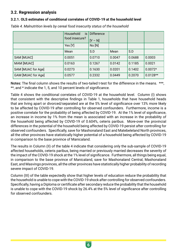#### **3.2. Regression analysis**

#### **3.2.1. OLS estimates of conditional correlates of COVID-19 at the household level**

|                    | Household<br>is<br>food insecure? | <b>Difference</b><br>$[Y - N]$ |        |        |            |
|--------------------|-----------------------------------|--------------------------------|--------|--------|------------|
|                    | Yes [Y]                           | No[N]                          |        |        |            |
|                    | Mean                              | S.D                            | Mean   | S.D    |            |
| SAM [MUAC]         | 0.0051                            | 0.0710                         | 0.0047 | 0.0688 | 0.0003     |
| MAM [MUAC]         | 0.0163                            | 0.1267                         | 0.0142 | 0.1185 | 0.0021     |
| SAM [MUAC for Age] | 0.0273                            | 0.1630                         | 0.0201 | 0.1402 | $0.0072*$  |
| GAM [MUAC for Age] | 0.0577                            | 0.2332                         | 0.0449 | 0.2070 | $0.0128**$ |

*Table 4. Malnutrition levels by cereal food insecurity status of the household*

Notes: The final column shows the results of two-tailed t-test for the difference in the means. \*\*\*. \*\*, and \* indicate the 1, 5, and 10 percent levels of significance.

Table 4 shows the conditional correlates of COVID-19 at the household level. Column (I) shows that consistent with the descriptive findings in Table 1, households that have household heads that are living apart or divorced/separated are at the 5% level of significance over 13% more likely to be affected by COVID-19 after controlling for observed confounders. Furthermore, income is a positive correlate for the probability of being affected by COVID-19. At the 1% level of significance, an increase in income by 1% from the mean is associated with an increase in the probability of the household being affected by COVID-19 of 0.604%, ceteris paribus. More-over the provincial differences in the potential of the household being affected by COVID-19 persist after controlling for observed confounders. Specifically, save for Mashonaland East and Matebeleland North provinces, all the other provinces have statistically higher potential of a household being affected by COVID-19 in comparison to the base province of Manicaland.

The results in Column (II) of the table 4 indicate that considering only the sub-sample of COVID-19 affected households, ceteris paribus, being married or previously married decreases the severity of the impact of the COVID-19 shock at the 1% level of significance. Furthermore, all things being equal, in comparison to the base province of Manicaland, save for Mashonaland Central, Mashonaland East, and Masvingo provinces, all the other provinces have statistically higher probability of recording severe impact of COVID-19.

Column (III) of the table expectedly show that higher levels of education reduce the probability that the household is unable to cope with the COVID-19 shock after controlling for observed confounders. Specifically, having a Diploma or certificate after secondary reduce the probability that the household is unable to cope with the COVID-19 shock by 26.4% at the 5% level of significance after controlling for observed confounders.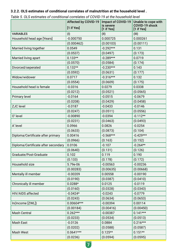#### **3.2.2. OLS estimates of conditional correlates of malnutrition at the household level .**

|                                     | <b>Affected by COVID-19</b> | <b>Impact of COVID-19</b> | Unable to cope with          |
|-------------------------------------|-----------------------------|---------------------------|------------------------------|
|                                     | [1 if Yes]                  | is severe<br>[1 if Yes]   | COVID-19 shock<br>[1 if Yes] |
| <b>VARIABLES</b>                    | (1)                         | (II)                      | (III)                        |
| Household head age [Years]          | $-0.000750$                 | 0.000725                  | 0.000261                     |
|                                     | (0.000462)                  | (0.00103)                 | (0.00111)                    |
| Married living together             | 0.0549                      | $-0.292***$               | 0.131                        |
|                                     | (0.0537)                    | (0.0497)                  | (0.173)                      |
| Married living apart                | $0.133**$                   | $-0.289***$               | 0.0719                       |
|                                     | (0.0570)                    | (0.0584)                  | (0.174)                      |
| Divorced/seperated                  | $0.132**$                   | $-0.230***$               | 0.143                        |
|                                     | (0.0592)                    | (0.0631)                  | (0.177)                      |
| Widow/widower                       | 0.0717                      | $-0.316***$               | 0.132                        |
|                                     | (0.0554)                    | (0.0609)                  | (0.175)                      |
| Household head is female            | $-0.0316$                   | 0.0279                    | 0.0338                       |
|                                     | (0.0212)                    | (0.0521)                  | (0.0565)                     |
| Primary level                       | $-0.0164$                   | $-0.0515$                 | $-0.0679$                    |
|                                     | (0.0208)                    | (0.0429)                  | (0.0458)                     |
| <b>ZJC</b> level                    | $-0.0187$                   | $-0.0433$                 | $-0.0146$                    |
|                                     | (0.0247)                    | (0.0511)                  | (0.0556)                     |
| O' level                            | $-0.00890$                  | $-0.0394$                 | $-0.112**$                   |
|                                     | (0.0231)                    | (0.0463)                  | (0.0493)                     |
| A' level                            | 0.0966                      | 0.0826                    | $-0.0254$                    |
|                                     | (0.0633)                    | (0.0873)                  | (0.104)                      |
| Diploma/Certificate after primary   | 0.00416                     | $-0.568***$               | $-0.429***$                  |
|                                     | (0.0966)                    | (0.163)                   | (0.152)                      |
| Diploma/Certificate after secondary | 0.0106                      | $-0.107$                  | $-0.264**$                   |
|                                     | (0.0640)                    | (0.131)                   | (0.126)                      |
| Graduate/Post-Graduate              | 0.102                       | 0.119                     | 0.190                        |
|                                     | (0.133)                     | (0.178)                   | (0.172)                      |
| Household size                      | 5.79e-06                    | $-0.00563$                | $-0.00236$                   |
|                                     | (0.00283)                   | (0.00635)                 | (0.00668)                    |
| Mentally ill member                 | $-0.00209$                  | 0.00558                   | $-0.00190$                   |
|                                     | (0.0190)                    | (0.0387)                  | (0.0410)                     |
| Chronically ill member              | $0.0288*$                   | 0.0125                    | $-0.0119$                    |
|                                     | (0.0160)                    | (0.0328)                  | (0.0343)                     |
| HIV/AIDS affected                   | $-0.0424*$                  | $-0.0243$                 | $-0.0779$                    |
|                                     | (0.0243)                    | (0.0634)                  | (0.0653)                     |
| In(Income [ZWL])                    | $0.00604***$                | $-0.00394$                | 0.00114                      |
|                                     | (0.00184)                   | (0.00416)                 | (0.00450)                    |
| <b>Mash Central</b>                 | $0.262***$                  | $-0.00387$                | $0.141***$                   |
|                                     | (0.0233)                    | (0.0534)                  | (0.0513)                     |
| Mash East                           | $-0.0126$                   | 0.0884                    | $0.216***$                   |
|                                     | (0.0202)                    | (0.0588)                  | (0.0587)                     |
| <b>Mash West</b>                    | $0.0641***$                 | $0.125**$                 | $0.151**$                    |
|                                     | (0.0236)                    | (0.0594)                  | (0.0595)                     |

|  | Table 5. OLS estimates of conditional correlates of COVID-19 at the household level |
|--|-------------------------------------------------------------------------------------|
|--|-------------------------------------------------------------------------------------|

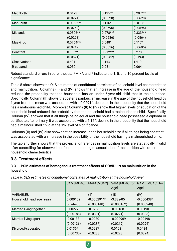| Mat North           | 0.0173      | $0.135**$  | $0.297***$ |
|---------------------|-------------|------------|------------|
|                     | (0.0224)    | (0.0620)   | (0.0628)   |
| Mat South           | $0.0955***$ | $0.116*$   | $-0.0136$  |
|                     | (0.0252)    | (0.0596)   | (0.0595)   |
| <b>Midlands</b>     | $0.0506**$  | $0.278***$ | $0.333***$ |
|                     | (0.0223)    | (0.0536)   | (0.0564)   |
| Masvingo            | $0.0764***$ | 0.0481     | $0.117*$   |
|                     | (0.0249)    | (0.0616)   | (0.0605)   |
| Constant            | $0.136**$   | $0.912***$ | 0.273      |
|                     | (0.0621)    | (0.0982)   | (0.193)    |
| <b>Observations</b> | 5,404       | 1,443      | 1,410      |
| R-squared           | 0.050       | 0.051      | 0.064      |

Robust standard errors in parentheses. \*\*\*, \*\*, and \* indicate the 1, 5, and 10 percent levels of significance

Table 5 above shows the OLS estimates of conditional correlates of household level characteristics and malnutrition. Columns (II) and (IV) shows that an increase in the age of the household head reduces the probability that the household has an under 5-year-old child that is malnourished. Specifically, Column (II) shows that ceteris paribus, an increase in the age of the household head by 1 year from the mean was associated with a 0.0291% decrease in the probability that the household has a malnourished child. Moreover, Columns (II) to (IV) show that higher levels of education of the household head reduced the probability that the household had a malnourished child. Specifically, Column (IV) showed that if all things being equal and the household head possessed a diploma or certificate after primary, it was associated with a 6.15% decline in the probability that the household had a malnourished child at the 1% level of significance.

Columns (II) and (IV) also show that an increase in the household size if all things being constant was associated with an increase in the possibility of the household having a malnourished child.

The table further shows that the provincial differences in malnutrition levels are statistically invalid after controlling for observed confounders pointing to association of malnutrition with other household characteristics.

#### **3.3. Treatment effects**

#### **3.3.1. PSM estimates of homogenous treatment effects of COVID-19 on malnutrition in the household**

|                            | SAM [MUAC]   | MAM [MUAC]    | SAM [MUAC for GAM<br>Age] | [MUAC for<br>Age] |
|----------------------------|--------------|---------------|---------------------------|-------------------|
| <b>VARIABLES</b>           | (1)          | (II)          | (III)                     | (IV)              |
| Household head age [Years] | 0.000102     | $-0.000291**$ | $-3.33e-05$               | $-0.000438*$      |
|                            | $(7.74e-05)$ | (0.000148)    | (0.000162)                | (0.000240)        |
| Married living together    | 0.00227      | $-0.0286$     | $-0.00188$                | 0.00190           |
|                            | (0.00188)    | (0.0301)      | (0.0221)                  | (0.0303)          |
| Married living apart       | $-0.00133$   | $-0.0280$     | $-0.000969$               | $-0.00198$        |
|                            | (0.00136)    | (0.0287)      | (0.0219)                  | (0.0296)          |
| Divorced/seperated         | $0.0136*$    | $-0.0227$     | 0.0103                    | 0.0484            |
|                            | (0.00730)    | (0.0288)      | (0.0228)                  | (0.0324)          |

*Table 6. OLS estimates of conditional correlates of malnutrition at the household level*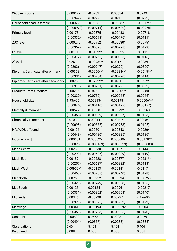| Widow/widower                       | 0.000122    | $-0.0232$    | 0.00634      | 0.0249       |
|-------------------------------------|-------------|--------------|--------------|--------------|
|                                     | (0.00342)   | (0.0279)     | (0.0213)     | (0.0292)     |
| Household head is female            | $-0.000722$ | $-0.00861$   | $-0.00387$   | $-0.0217**$  |
|                                     | (0.000973)  | (0.00711)    | (0.00530)    | (0.00956)    |
| <b>Primary level</b>                | 0.00173     | $-0.00875$   | $-0.00433$   | $-0.00718$   |
|                                     | (0.00332)   | (0.00693)    | (0.00776)    | (0.0111)     |
| <b>ZJC</b> level                    | 0.000276    | $-0.00952$   | $-0.000301$  | $-0.00751$   |
|                                     | (0.00359)   | (0.00825)    | (0.00928)    | (0.0129)     |
| O' level                            | 0.00111     | $-0.0169**$  | $-0.00535$   | $-0.0111$    |
|                                     | (0.00312)   | (0.00755)    | (0.00806)    | (0.0118)     |
| A' level                            | 0.0261      | $-0.0293***$ | 0.0316       | $-0.00391$   |
|                                     | (0.0202)    | (0.00747)    | (0.0290)     | (0.0300)     |
| Diploma/Certificate after primary   | $-0.00353$  | $-0.0266***$ | $-0.0288***$ | $-0.0615***$ |
|                                     | (0.00331)   | (0.00704)    | (0.00770)    | (0.0114)     |
| Diploma/Certificate after secondary | $-0.00256$  | $-0.0293***$ | 0.0461       | 0.00972      |
|                                     | (0.00313)   | (0.00701)    | (0.0379)     | (0.0389)     |
| Graduate/Post-Graduate              | $-0.00206$  | 0.0480       | $-0.0290***$ | 0.00880      |
|                                     | (0.00330)   | (0.0752)     | (0.00768)    | (0.0766)     |
| Household size                      | 1.93e-05    | $0.00213*$   | 0.00198      | 0.00506***   |
|                                     | (0.000450)  | (0.00110)    | (0.00127)    | (0.00177)    |
| Mentally ill member                 | $-0.00522$  | 0.00388      | $-0.00792$   | $-0.00163$   |
|                                     | (0.00358)   | (0.00609)    | (0.00597)    | (0.0103)     |
| Chronically ill member              | 0.0103      | 0.00814      | 0.00707      | $0.0208**$   |
|                                     | (0.00698)   | (0.00575)    | (0.00783)    | (0.0105)     |
| HIV/AIDS affected                   | $-0.00106$  | $-0.00501$   | $-0.00343$   | $-0.00264$   |
|                                     | (0.00448)   | (0.00730)    | (0.00885)    | (0.0136)     |
| Income [ZWL]                        | 0.000181    | 0.000525     | 0.000606     | $0.00178**$  |
|                                     | (0.000255)  | (0.000469)   | (0.000633)   | (0.000883)   |
| <b>Mash Central</b>                 | 0.00260     | $-0.00530$   | $-0.0127$    | $-0.0144$    |
|                                     | (0.00299)   | (0.00627)    | (0.00809)    | (0.0119)     |
| <b>Mash East</b>                    | 0.00139     | $-0.00228$   | $-0.00877$   | $-0.0231**$  |
|                                     | (0.00257)   | (0.00627)    | (0.00822)    | (0.0113)     |
| <b>Mash West</b>                    | $0.00950**$ | $-0.00153$   | $-0.00141$   | $-0.0117$    |
|                                     | (0.00468)   | (0.00707)    | (0.00940)    | (0.0128)     |
| Mat North                           | 0.00250     | $-0.00212$   | $-0.00634$   | 0.000753     |
|                                     | (0.00321)   | (0.00749)    | (0.00888)    | (0.0135)     |
| Mat South                           | 0.00125     | 0.00124      | $-0.00961$   | $-0.00217$   |
|                                     | (0.00331)   | (0.00802)    | (0.00904)    | (0.0140)     |
| <b>Midlands</b>                     | 0.00346     | $-0.00290$   | 0.00227      | 4.17e-05     |
|                                     | (0.00323)   | (0.00675)    | (0.00933)    | (0.0129)     |
| Masvingo                            | 0.00341     | $-0.00193$   | $-0.000192$  | $-0.000470$  |
|                                     | (0.00353)   | (0.00723)    | (0.00995)    | (0.0140)     |
| Constant                            | $-0.00800$  | 0.0553       | 0.0203       | 0.0459       |
|                                     | (0.00491)   | (0.0357)     | (0.0283)     | (0.0385)     |
| <b>Observations</b>                 | 5,404       | 5,404        | 5,404        | 5,404        |
| R-squared                           | 0.008       | 0.006        | 0.005        | 0.008        |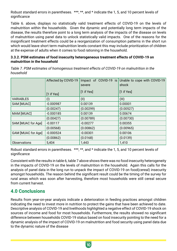Robust standard errors in parentheses. \*\*\*, \*\*, and \* indicate the 1, 5, and 10 percent levels of significance

Table 6. above, displays no statistically valid treatment effects of COVID-19 on the levels of malnutrition within the households. Given the dynamic and potentially long term impacts of the disease, the results therefore point to a long term analysis of the impacts of the disease on levels of malnutrition using panel data to unlock statistically valid impacts. One of the reasons for the insignificant treatment effects could be a reorganization of consumption patterns in the short run which would leave short term malnutrition levels constant this may include prioritization of children at the expense of adults when it comes to food rationing in the household.

#### **3.3.2. PSM estimates of food insecurity heterogeneous treatment effects of COVID-19 on malnutrition in the household**

*Table 7. PSM estimates of homogenous treatment effects of COVID-19 on malnutrition in the household*

|                           | Affected by COVID-19 | Impact of COVID-19 is<br>severe | Unable to cope with COVID-19<br>shock |
|---------------------------|----------------------|---------------------------------|---------------------------------------|
|                           | $[1$ if Yes]         | $[1$ if Yes]                    | $[1$ if Yes]                          |
| <b>VARIABLES</b>          | (1)                  | (II)                            | (III)                                 |
| SAM [MUAC]                | $-0.000987$          | 0.00139                         | 0.00001                               |
|                           | (0.00247)            | (0.00299)                       | (0.00527)                             |
| <b>MAM [MUAC]</b>         | $-0.000185$          | 0.00139                         | 0.00674                               |
|                           | (0.00427)            | (0.00789)                       | (0.00730)                             |
| SAM [MUAC for Age]        | $-0.00117$           | $-0.00277$                      | 0.00355                               |
|                           | (0.00568)            | (0.00862)                       | (0.00965)                             |
| <b>GAM [MUAC for Age]</b> | $-0.000524$          | $-0.00301$                      | 0.00106                               |
|                           | (0.00862)            | (0.0168)                        | (0.0139)                              |
| <b>Observations</b>       | 5,404                | 1,443                           | 1,410                                 |

Robust standard errors in parentheses. \*\*\*, \*\*, and \* indicate the 1, 5, and 10 percent levels of significance

Consistent with the results in table 6, table 7 above shows there was no food insecurity heterogeneity in the impacts of COVID-19 on the levels of malnutrition in the household. Again this calls for the analysis of panel data in the long run to unpack the impact of COVID-19 on food(cereal) insecurity amongst households. The reason behind the significant result could be the timing of the survey for rural areas which was soon after harvesting, therefore most households were still cereal secure from current harvest.

## **4.0 Conclusions**

Results from year-on-year analysis indicate a deterioration in feeding practices amongst children indicating the need to invest more in nutrition to protect the gains that have been achieved to date. Descriptive analysis of COVID-19 and livelihoods highlighted a negative effect of COVID-19 shock on sources of income and food for most households. Furthermore, the results showed no significant difference between households COVID-19 status based on food insecurity pointing to the need for a dynamic analysis of the impact of COVID-19 on malnutrition and food security using panel data due to the dynamic nature of the disease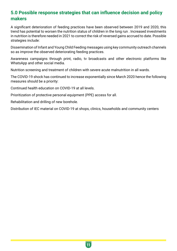## **5.0 Possible response strategies that can influence decision and policy makers**

A significant deterioration of feeding practices have been observed between 2019 and 2020, this trend has potential to worsen the nutrition status of children in the long run . Increased investments in nutrition is therefore needed in 2021 to correct the risk of reversed gains accrued to date. Possible strategies include:

Dissemination of Infant and Young Child Feeding messages using key community outreach channels so as improve the observed deteriorating feeding practices.

Awareness campaigns through print, radio, tv broadcasts and other electronic platforms like WhatsApp and other social media.

Nutrition screening and treatment of children with severe acute malnutrition in all wards.

The COVID-19 shock has continued to increase exponentially since March 2020 hence the following measures should be a priority:

Continued health education on COVID-19 at all levels.

Prioritization of protective personal equipment (PPE) access for all.

Rehabilitation and drilling of new borehole.

Distribution of IEC material on COVID-19 at shops, clinics, households and community centers

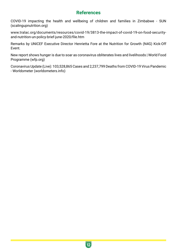## **References**

COVID-19 impacting the health and wellbeing of children and families in Zimbabwe - SUN (scalingupnutrition.org)

www.tralac.org/documents/resources/covid-19/3813-the-impact-of-covid-19-on-food-securityand-nutrition-un-policy-brief-june-2020/file.htm

Remarks by UNICEF Executive Director Henrietta Fore at the Nutrition for Growth (N4G) Kick-Off Event.

New report shows hunger is due to soar as coronavirus obliterates lives and livelihoods | World Food Programme (wfp.org)

Coronavirus Update (Live): 103,528,865 Cases and 2,237,799 Deaths from COVID-19 Virus Pandemic - Worldometer (worldometers.info)